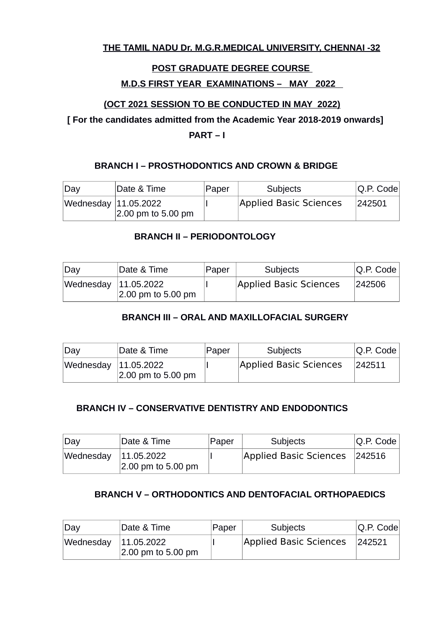# **THE TAMIL NADU Dr. M.G.R.MEDICAL UNIVERSITY, CHENNAI -32**

# **POST GRADUATE DEGREE COURSE**

### **M.D.S FIRST YEAR EXAMINATIONS – MAY 2022**

# **(OCT 2021 SESSION TO BE CONDUCTED IN MAY 2022)**

 **[ For the candidates admitted from the Academic Year 2018-2019 onwards]**

 **PART – I**

### **BRANCH I – PROSTHODONTICS AND CROWN & BRIDGE**

| $\mathsf{Dav}$       | Date & Time                   | Paper | <b>Subjects</b>        | $ Q.P.$ Code |
|----------------------|-------------------------------|-------|------------------------|--------------|
| Wednesday 11.05.2022 | $ 2.00 \text{ pm}$ to 5.00 pm |       | Applied Basic Sciences | 242501       |

### **BRANCH II – PERIODONTOLOGY**

| $\Delta v$             | Date & Time        | Paper | <b>Subjects</b>        | $ Q.P.$ Code |
|------------------------|--------------------|-------|------------------------|--------------|
| Wednesday   11.05.2022 | 2.00 pm to 5.00 pm |       | Applied Basic Sciences | 242506       |

# **BRANCH III – ORAL AND MAXILLOFACIAL SURGERY**

| $\Delta$               | Date & Time        | Paper | <b>Subjects</b>        | $ Q.P.$ Code $ $ |
|------------------------|--------------------|-------|------------------------|------------------|
| Wednesday   11.05.2022 | 2.00 pm to 5.00 pm |       | Applied Basic Sciences | 242511           |

#### **BRANCH IV – CONSERVATIVE DENTISTRY AND ENDODONTICS**

| $\Delta$  | Date & Time                                 | Paper | <b>Subjects</b>               | Q.P. Code |
|-----------|---------------------------------------------|-------|-------------------------------|-----------|
| Wednesday | 11.05.2022<br>$ 2.00 \text{ pm}$ to 5.00 pm |       | Applied Basic Sciences 242516 |           |

# **BRANCH V – ORTHODONTICS AND DENTOFACIAL ORTHOPAEDICS**

| <b>Day</b>           | Date & Time        | Paper | Subjects               | $ Q.P.$ Code |
|----------------------|--------------------|-------|------------------------|--------------|
| Wednesday 11.05.2022 | 2.00 pm to 5.00 pm |       | Applied Basic Sciences | 242521       |